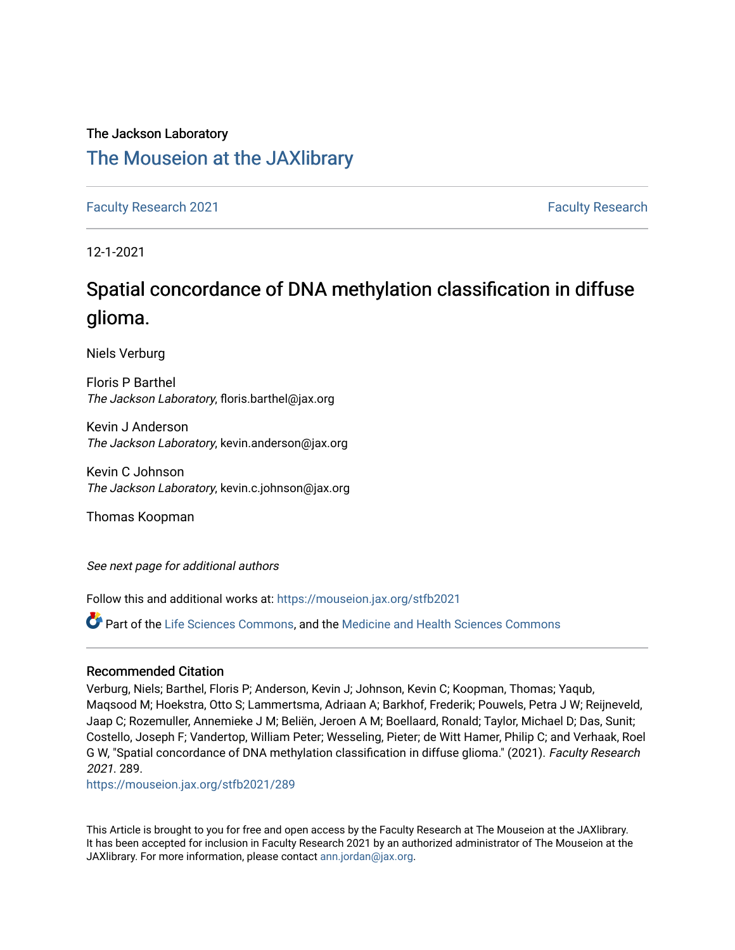## The Jackson Laboratory [The Mouseion at the JAXlibrary](https://mouseion.jax.org/)

[Faculty Research 2021](https://mouseion.jax.org/stfb2021) **[Faculty Research](https://mouseion.jax.org/fac_research) 2021 Faculty Research** 

12-1-2021

# Spatial concordance of DNA methylation classification in diffuse glioma.

Niels Verburg

Floris P Barthel The Jackson Laboratory, floris.barthel@jax.org

Kevin J Anderson The Jackson Laboratory, kevin.anderson@jax.org

Kevin C Johnson The Jackson Laboratory, kevin.c.johnson@jax.org

Thomas Koopman

See next page for additional authors

Follow this and additional works at: [https://mouseion.jax.org/stfb2021](https://mouseion.jax.org/stfb2021?utm_source=mouseion.jax.org%2Fstfb2021%2F289&utm_medium=PDF&utm_campaign=PDFCoverPages)

Part of the [Life Sciences Commons,](http://network.bepress.com/hgg/discipline/1016?utm_source=mouseion.jax.org%2Fstfb2021%2F289&utm_medium=PDF&utm_campaign=PDFCoverPages) and the [Medicine and Health Sciences Commons](http://network.bepress.com/hgg/discipline/648?utm_source=mouseion.jax.org%2Fstfb2021%2F289&utm_medium=PDF&utm_campaign=PDFCoverPages)

## Recommended Citation

Verburg, Niels; Barthel, Floris P; Anderson, Kevin J; Johnson, Kevin C; Koopman, Thomas; Yaqub, Maqsood M; Hoekstra, Otto S; Lammertsma, Adriaan A; Barkhof, Frederik; Pouwels, Petra J W; Reijneveld, Jaap C; Rozemuller, Annemieke J M; Beliën, Jeroen A M; Boellaard, Ronald; Taylor, Michael D; Das, Sunit; Costello, Joseph F; Vandertop, William Peter; Wesseling, Pieter; de Witt Hamer, Philip C; and Verhaak, Roel G W, "Spatial concordance of DNA methylation classification in diffuse glioma." (2021). Faculty Research 2021. 289.

[https://mouseion.jax.org/stfb2021/289](https://mouseion.jax.org/stfb2021/289?utm_source=mouseion.jax.org%2Fstfb2021%2F289&utm_medium=PDF&utm_campaign=PDFCoverPages)

This Article is brought to you for free and open access by the Faculty Research at The Mouseion at the JAXlibrary. It has been accepted for inclusion in Faculty Research 2021 by an authorized administrator of The Mouseion at the JAXlibrary. For more information, please contact [ann.jordan@jax.org](mailto:ann.jordan@jax.org).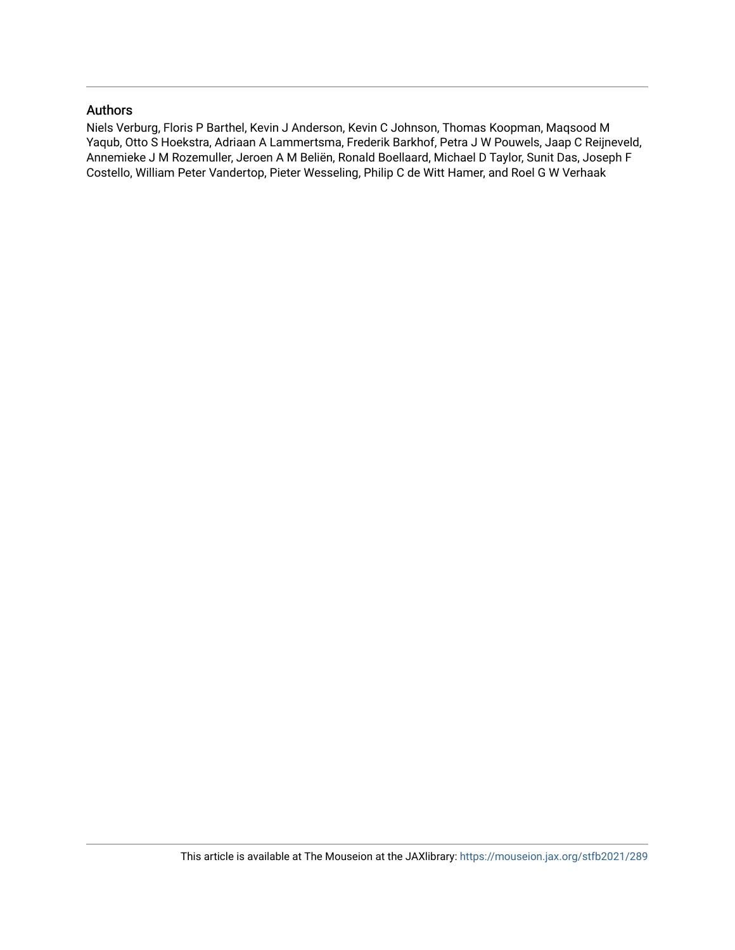## Authors

Niels Verburg, Floris P Barthel, Kevin J Anderson, Kevin C Johnson, Thomas Koopman, Maqsood M Yaqub, Otto S Hoekstra, Adriaan A Lammertsma, Frederik Barkhof, Petra J W Pouwels, Jaap C Reijneveld, Annemieke J M Rozemuller, Jeroen A M Beliën, Ronald Boellaard, Michael D Taylor, Sunit Das, Joseph F Costello, William Peter Vandertop, Pieter Wesseling, Philip C de Witt Hamer, and Roel G W Verhaak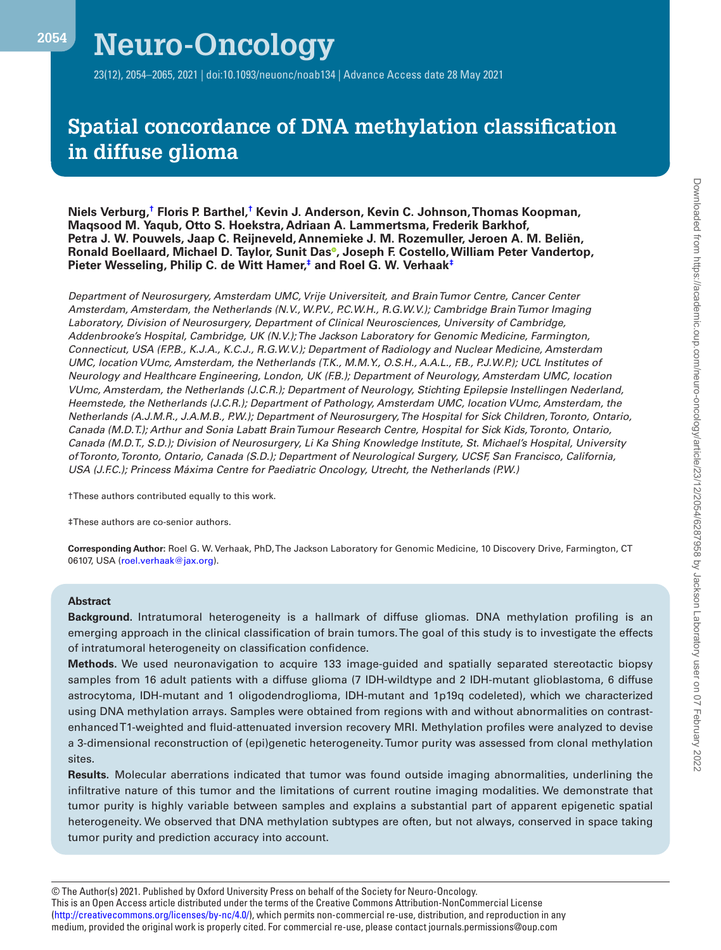Ņ

23(12), 2054–2065, 2021 | doi:10.1093/neuonc/noab134 | Advance Access date 28 May 2021

## **Spatial concordance of DNA methylation classification in diffuse glioma**

**Niels Verburg[,†](#page-2-0) Floris P. Barthel[,†](#page-2-0) Kevin J. Anderson, Kevin C. Johnson, Thomas Koopman, Maqsood M. Yaqub, Otto S. Hoekstra, Adriaan A. Lammertsma, Frederik Barkhof, Petra J. W. Pouwels, Jaap C. Reijneveld, Annemieke J. M. Rozemuller, Jeroen A. M. Beliën, Ronald Boellaard, Michael D. Taylor, Sunit Da[s](https://orcid.org/0000-0002-2146-4168) , Joseph F. Costello, William Peter Vandertop, Pieter Wesseling, Philip C. de Witt Hamer,[‡](#page-2-1) and Roel G. W. Verhaa[k‡](#page-2-1)**

*Department of Neurosurgery, Amsterdam UMC, Vrije Universiteit, and Brain Tumor Centre, Cancer Center Amsterdam, Amsterdam, the Netherlands (N.V., W.P.V., P.C.W.H., R.G.W.V.); Cambridge Brain Tumor Imaging Laboratory, Division of Neurosurgery, Department of Clinical Neurosciences, University of Cambridge, Addenbrooke's Hospital, Cambridge, UK (N.V.); The Jackson Laboratory for Genomic Medicine, Farmington, Connecticut, USA (F.P.B., K.J.A., K.C.J., R.G.W.V.); Department of Radiology and Nuclear Medicine, Amsterdam UMC, location VUmc, Amsterdam, the Netherlands (T.K., M.M.Y., O.S.H., A.A.L., F.B., P.J.W.P.); UCL Institutes of Neurology and Healthcare Engineering, London, UK (F.B.); Department of Neurology, Amsterdam UMC, location VUmc, Amsterdam, the Netherlands (J.C.R.); Department of Neurology, Stichting Epilepsie Instellingen Nederland, Heemstede, the Netherlands (J.C.R.); Department of Pathology, Amsterdam UMC, location VUmc, Amsterdam, the Netherlands (A.J.M.R., J.A.M.B., P.W.); Department of Neurosurgery, The Hospital for Sick Children, Toronto, Ontario, Canada (M.D.T.); Arthur and Sonia Labatt Brain Tumour Research Centre, Hospital for Sick Kids, Toronto, Ontario, Canada (M.D.T., S.D.); Division of Neurosurgery, Li Ka Shing Knowledge Institute, St. Michael's Hospital, University of Toronto, Toronto, Ontario, Canada (S.D.); Department of Neurological Surgery, UCSF, San Francisco, California, USA (J.F.C.); Princess Máxima Centre for Paediatric Oncology, Utrecht, the Netherlands (P.W.)* 

<span id="page-2-0"></span>†These authors contributed equally to this work.

<span id="page-2-1"></span>‡These authors are co-senior authors.

**Corresponding Author:** Roel G. W. Verhaak, PhD, The Jackson Laboratory for Genomic Medicine, 10 Discovery Drive, Farmington, CT 06107, USA ([roel.verhaak@jax.org\)](mailto:roel.verhaak@jax.org?subject=).

#### **Abstract**

**Background.** Intratumoral heterogeneity is a hallmark of diffuse gliomas. DNA methylation profiling is an emerging approach in the clinical classification of brain tumors. The goal of this study is to investigate the effects of intratumoral heterogeneity on classification confidence.

**Methods.** We used neuronavigation to acquire 133 image-guided and spatially separated stereotactic biopsy samples from 16 adult patients with a diffuse glioma (7 IDH-wildtype and 2 IDH-mutant glioblastoma, 6 diffuse astrocytoma, IDH-mutant and 1 oligodendroglioma, IDH-mutant and 1p19q codeleted), which we characterized using DNA methylation arrays. Samples were obtained from regions with and without abnormalities on contrastenhanced T1-weighted and fluid-attenuated inversion recovery MRI. Methylation profiles were analyzed to devise a 3-dimensional reconstruction of (epi)genetic heterogeneity. Tumor purity was assessed from clonal methylation sites.

**Results.** Molecular aberrations indicated that tumor was found outside imaging abnormalities, underlining the infiltrative nature of this tumor and the limitations of current routine imaging modalities. We demonstrate that tumor purity is highly variable between samples and explains a substantial part of apparent epigenetic spatial heterogeneity. We observed that DNA methylation subtypes are often, but not always, conserved in space taking tumor purity and prediction accuracy into account.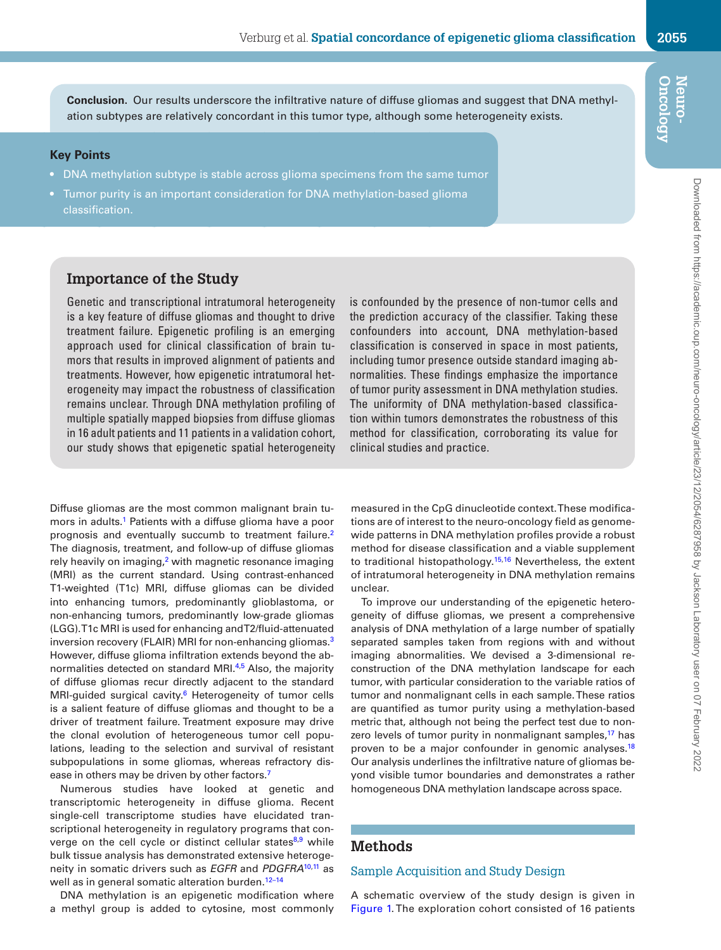**Oncology Neuro-**

#### **Key Points**

- DNA methylation subtype is stable across glioma specimens from the same tumor
- Tumor purity is an important consideration for DNA methylation-based glioma classification.

## **Importance of the Study**

Genetic and transcriptional intratumoral heterogeneity is a key feature of diffuse gliomas and thought to drive treatment failure. Epigenetic profiling is an emerging approach used for clinical classification of brain tumors that results in improved alignment of patients and treatments. However, how epigenetic intratumoral heterogeneity may impact the robustness of classification remains unclear. Through DNA methylation profiling of multiple spatially mapped biopsies from diffuse gliomas in 16 adult patients and 11 patients in a validation cohort, our study shows that epigenetic spatial heterogeneity

Diffuse gliomas are the most common malignant brain tumors in adults.<sup>1</sup> Patients with a diffuse glioma have a poor prognosis and eventually succumb to treatment failure[.2](#page-13-1) The diagnosis, treatment, and follow-up of diffuse gliomas rely heavily on imaging, $2$  with magnetic resonance imaging (MRI) as the current standard. Using contrast-enhanced T1-weighted (T1c) MRI, diffuse gliomas can be divided into enhancing tumors, predominantly glioblastoma, or non-enhancing tumors, predominantly low-grade gliomas (LGG). T1c MRI is used for enhancing and T2/fluid-attenuated inversion recovery (FLAIR) MRI for non-enhancing gliomas<sup>3</sup> However, diffuse glioma infiltration extends beyond the ab-normalities detected on standard MRI.<sup>[4](#page-13-3),5</sup> Also, the majority of diffuse gliomas recur directly adjacent to the standard MRI-guided surgical cavity.<sup>6</sup> Heterogeneity of tumor cells is a salient feature of diffuse gliomas and thought to be a driver of treatment failure. Treatment exposure may drive the clonal evolution of heterogeneous tumor cell populations, leading to the selection and survival of resistant subpopulations in some gliomas, whereas refractory disease in others may be driven by other factors.<sup>7</sup>

Numerous studies have looked at genetic and transcriptomic heterogeneity in diffuse glioma. Recent single-cell transcriptome studies have elucidated transcriptional heterogeneity in regulatory programs that converge on the cell cycle or distinct cellular states $8.9$  while bulk tissue analysis has demonstrated extensive heterogeneity in somatic drivers such as *EGFR* and *PDGFRA*[10](#page-13-9),[11](#page-13-10) as well as in general somatic alteration burden.<sup>12-14</sup>

DNA methylation is an epigenetic modification where a methyl group is added to cytosine, most commonly is confounded by the presence of non-tumor cells and the prediction accuracy of the classifier. Taking these confounders into account, DNA methylation-based classification is conserved in space in most patients, including tumor presence outside standard imaging abnormalities. These findings emphasize the importance of tumor purity assessment in DNA methylation studies. The uniformity of DNA methylation-based classification within tumors demonstrates the robustness of this method for classification, corroborating its value for clinical studies and practice.

measured in the CpG dinucleotide context. These modifications are of interest to the neuro-oncology field as genomewide patterns in DNA methylation profiles provide a robust method for disease classification and a viable supplement to traditional histopathology.<sup>15,[16](#page-13-14)</sup> Nevertheless, the extent of intratumoral heterogeneity in DNA methylation remains unclear.

To improve our understanding of the epigenetic heterogeneity of diffuse gliomas, we present a comprehensive analysis of DNA methylation of a large number of spatially separated samples taken from regions with and without imaging abnormalities. We devised a 3-dimensional reconstruction of the DNA methylation landscape for each tumor, with particular consideration to the variable ratios of tumor and nonmalignant cells in each sample. These ratios are quantified as tumor purity using a methylation-based metric that, although not being the perfect test due to nonzero levels of tumor purity in nonmalignant samples,<sup>17</sup> has proven to be a major confounder in genomic analyses.<sup>[18](#page-13-16)</sup> Our analysis underlines the infiltrative nature of gliomas beyond visible tumor boundaries and demonstrates a rather homogeneous DNA methylation landscape across space.

## **Methods**

#### Sample Acquisition and Study Design

A schematic overview of the study design is given in [Figure 1](#page-4-0). The exploration cohort consisted of 16 patients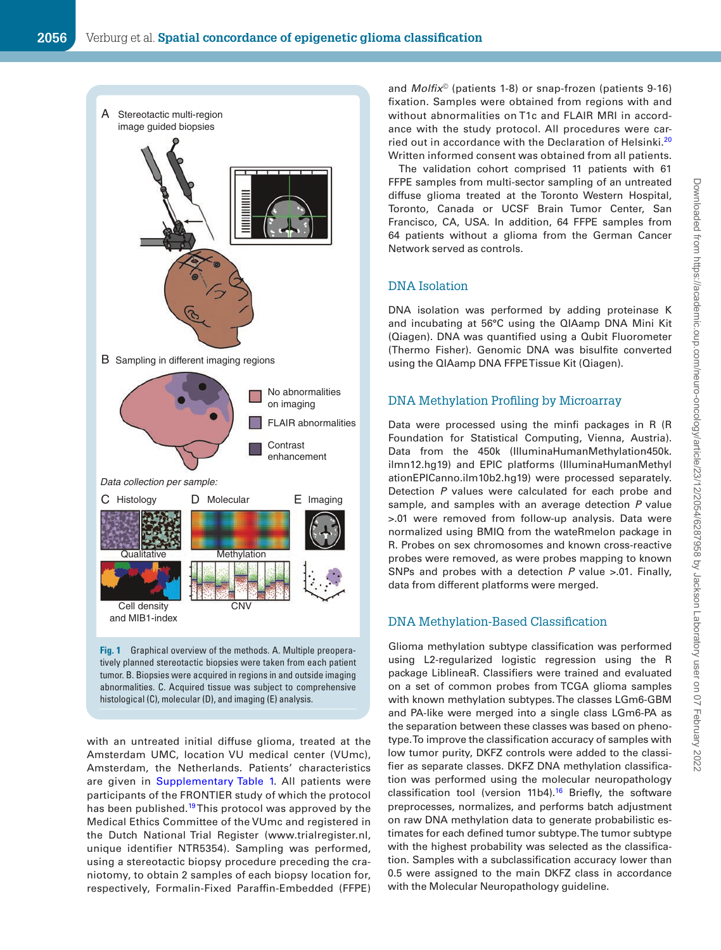

**Fig. 1** Graphical overview of the methods. A. Multiple preoperatively planned stereotactic biopsies were taken from each patient tumor. B. Biopsies were acquired in regions in and outside imaging abnormalities. C. Acquired tissue was subject to comprehensive histological (C), molecular (D), and imaging (E) analysis.

with an untreated initial diffuse glioma, treated at the Amsterdam UMC, location VU medical center (VUmc), Amsterdam, the Netherlands. Patients' characteristics are given in [Supplementary Table 1.](http://academic.oup.com/neuro-oncology/article-lookup/doi/10.1093/neuonc/noab134#supplementary-data) All patients were participants of the FRONTIER study of which the protocol has been published.<sup>[19](#page-13-17)</sup> This protocol was approved by the Medical Ethics Committee of the VUmc and registered in the Dutch National Trial Register (www.trialregister.nl, unique identifier NTR5354). Sampling was performed, using a stereotactic biopsy procedure preceding the craniotomy, to obtain 2 samples of each biopsy location for, respectively, Formalin-Fixed Paraffin-Embedded (FFPE) <span id="page-4-0"></span>and *Molfix*© (patients 1-8) or snap-frozen (patients 9-16) fixation. Samples were obtained from regions with and without abnormalities on T1c and FLAIR MRI in accordance with the study protocol. All procedures were carried out in accordance with the Declaration of Helsinki[.20](#page-13-18) Written informed consent was obtained from all patients.

The validation cohort comprised 11 patients with 61 FFPE samples from multi-sector sampling of an untreated diffuse glioma treated at the Toronto Western Hospital, Toronto, Canada or UCSF Brain Tumor Center, San Francisco, CA, USA. In addition, 64 FFPE samples from 64 patients without a glioma from the German Cancer Network served as controls.

## DNA Isolation

DNA isolation was performed by adding proteinase K and incubating at 56°C using the QIAamp DNA Mini Kit (Qiagen). DNA was quantified using a Qubit Fluorometer (Thermo Fisher). Genomic DNA was bisulfite converted using the QIAamp DNA FFPE Tissue Kit (Qiagen).

#### DNA Methylation Profiling by Microarray

Data were processed using the minfi packages in R (R Foundation for Statistical Computing, Vienna, Austria). Data from the 450k (IlluminaHumanMethylation450k. ilmn12.hg19) and EPIC platforms (IlluminaHumanMethyl ationEPICanno.ilm10b2.hg19) were processed separately. Detection *P* values were calculated for each probe and sample, and samples with an average detection *P* value >.01 were removed from follow-up analysis. Data were normalized using BMIQ from the wateRmelon package in R. Probes on sex chromosomes and known cross-reactive probes were removed, as were probes mapping to known SNPs and probes with a detection *P* value >.01. Finally, data from different platforms were merged.

#### DNA Methylation-Based Classification

Glioma methylation subtype classification was performed using L2-regularized logistic regression using the R package LiblineaR. Classifiers were trained and evaluated on a set of common probes from TCGA glioma samples with known methylation subtypes. The classes LGm6-GBM and PA-like were merged into a single class LGm6-PA as the separation between these classes was based on phenotype. To improve the classification accuracy of samples with low tumor purity, DKFZ controls were added to the classifier as separate classes. DKFZ DNA methylation classification was performed using the molecular neuropathology classification tool (version 11b4).<sup>16</sup> Briefly, the software preprocesses, normalizes, and performs batch adjustment on raw DNA methylation data to generate probabilistic estimates for each defined tumor subtype. The tumor subtype with the highest probability was selected as the classification. Samples with a subclassification accuracy lower than 0.5 were assigned to the main DKFZ class in accordance with the Molecular Neuropathology guideline.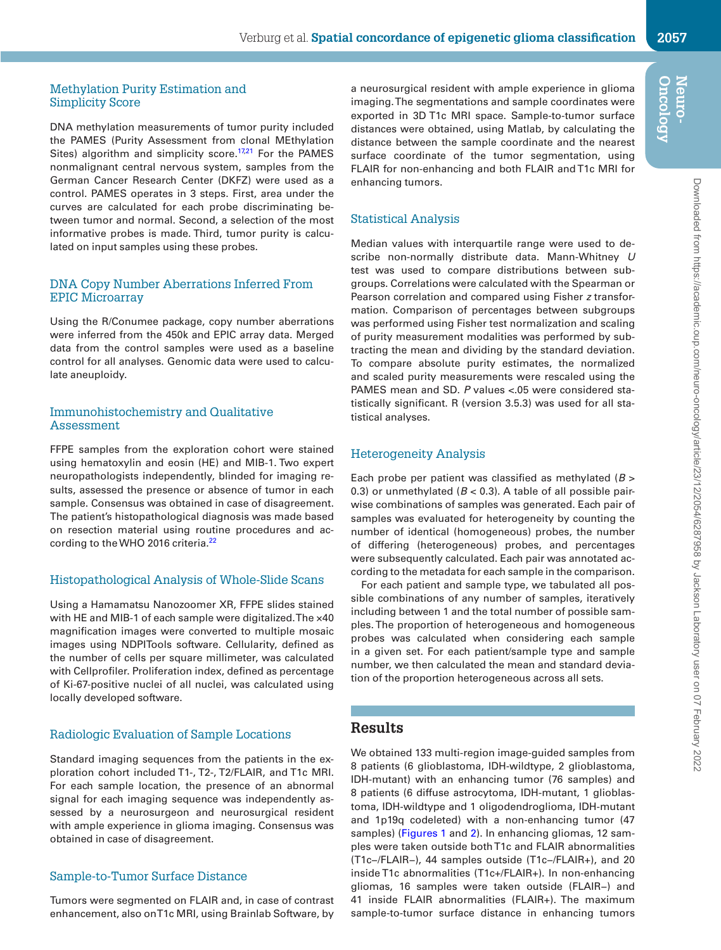#### Methylation Purity Estimation and Simplicity Score

DNA methylation measurements of tumor purity included the PAMES (Purity Assessment from clonal MEthylation Sites) algorithm and simplicity score.<sup>[17](#page-13-15),21</sup> For the PAMES nonmalignant central nervous system, samples from the German Cancer Research Center (DKFZ) were used as a control. PAMES operates in 3 steps. First, area under the curves are calculated for each probe discriminating between tumor and normal. Second, a selection of the most informative probes is made. Third, tumor purity is calculated on input samples using these probes.

#### DNA Copy Number Aberrations Inferred From EPIC Microarray

Using the R/Conumee package, copy number aberrations were inferred from the 450k and EPIC array data. Merged data from the control samples were used as a baseline control for all analyses. Genomic data were used to calculate aneuploidy.

#### Immunohistochemistry and Qualitative Assessment

FFPE samples from the exploration cohort were stained using hematoxylin and eosin (HE) and MIB-1. Two expert neuropathologists independently, blinded for imaging results, assessed the presence or absence of tumor in each sample. Consensus was obtained in case of disagreement. The patient's histopathological diagnosis was made based on resection material using routine procedures and according to the WHO 2016 criteria.<sup>22</sup>

#### Histopathological Analysis of Whole-Slide Scans

Using a Hamamatsu Nanozoomer XR, FFPE slides stained with HE and MIB-1 of each sample were digitalized. The ×40 magnification images were converted to multiple mosaic images using NDPITools software. Cellularity, defined as the number of cells per square millimeter, was calculated with Cellprofiler. Proliferation index, defined as percentage of Ki-67-positive nuclei of all nuclei, was calculated using locally developed software.

## Radiologic Evaluation of Sample Locations

Standard imaging sequences from the patients in the exploration cohort included T1-, T2-, T2/FLAIR, and T1c MRI. For each sample location, the presence of an abnormal signal for each imaging sequence was independently assessed by a neurosurgeon and neurosurgical resident with ample experience in glioma imaging. Consensus was obtained in case of disagreement.

#### Sample-to-Tumor Surface Distance

Tumors were segmented on FLAIR and, in case of contrast enhancement, also on T1c MRI, using Brainlab Software, by a neurosurgical resident with ample experience in glioma imaging. The segmentations and sample coordinates were exported in 3D T1c MRI space. Sample-to-tumor surface distances were obtained, using Matlab, by calculating the distance between the sample coordinate and the nearest surface coordinate of the tumor segmentation, using FLAIR for non-enhancing and both FLAIR and T1c MRI for enhancing tumors.

## Statistical Analysis

Median values with interquartile range were used to describe non-normally distribute data. Mann-Whitney *U* test was used to compare distributions between subgroups. Correlations were calculated with the Spearman or Pearson correlation and compared using Fisher *z* transformation. Comparison of percentages between subgroups was performed using Fisher test normalization and scaling of purity measurement modalities was performed by subtracting the mean and dividing by the standard deviation. To compare absolute purity estimates, the normalized and scaled purity measurements were rescaled using the PAMES mean and SD. *P* values <.05 were considered statistically significant. R (version 3.5.3) was used for all statistical analyses.

## Heterogeneity Analysis

Each probe per patient was classified as methylated (*B* > 0.3) or unmethylated  $(B < 0.3)$ . A table of all possible pairwise combinations of samples was generated. Each pair of samples was evaluated for heterogeneity by counting the number of identical (homogeneous) probes, the number of differing (heterogeneous) probes, and percentages were subsequently calculated. Each pair was annotated according to the metadata for each sample in the comparison.

For each patient and sample type, we tabulated all possible combinations of any number of samples, iteratively including between 1 and the total number of possible samples. The proportion of heterogeneous and homogeneous probes was calculated when considering each sample in a given set. For each patient/sample type and sample number, we then calculated the mean and standard deviation of the proportion heterogeneous across all sets.

## **Results**

We obtained 133 multi-region image-guided samples from 8 patients (6 glioblastoma, IDH-wildtype, 2 glioblastoma, IDH-mutant) with an enhancing tumor (76 samples) and 8 patients (6 diffuse astrocytoma, IDH-mutant, 1 glioblastoma, IDH-wildtype and 1 oligodendroglioma, IDH-mutant and 1p19q codeleted) with a non-enhancing tumor (47 samples) ([Figures 1](#page-4-0) and [2](#page-6-0)). In enhancing gliomas, 12 samples were taken outside both T1c and FLAIR abnormalities (T1c−/FLAIR−), 44 samples outside (T1c−/FLAIR+), and 20 inside T1c abnormalities (T1c+/FLAIR+). In non-enhancing gliomas, 16 samples were taken outside (FLAIR−) and 41 inside FLAIR abnormalities (FLAIR+). The maximum sample-to-tumor surface distance in enhancing tumors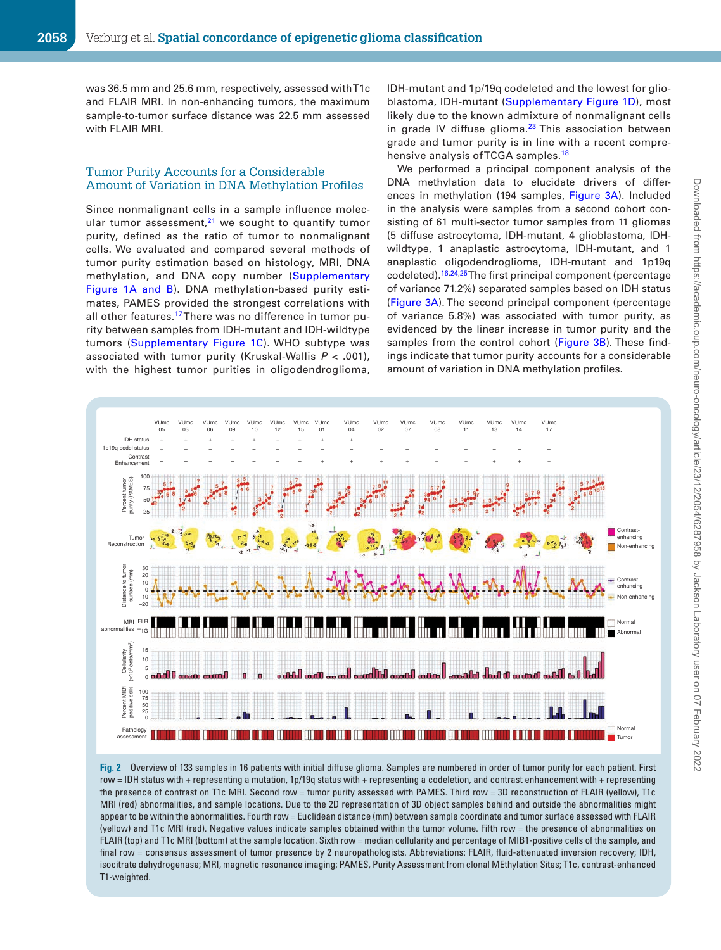was 36.5 mm and 25.6 mm, respectively, assessed with T1c and FLAIR MRI. In non-enhancing tumors, the maximum sample-to-tumor surface distance was 22.5 mm assessed with FLAIR MRI.

#### Tumor Purity Accounts for a Considerable Amount of Variation in DNA Methylation Profiles

Since nonmalignant cells in a sample influence molecular tumor assessment, $21$  we sought to quantify tumor purity, defined as the ratio of tumor to nonmalignant cells. We evaluated and compared several methods of tumor purity estimation based on histology, MRI, DNA methylation, and DNA copy number ([Supplementary](http://academic.oup.com/neuro-oncology/article-lookup/doi/10.1093/neuonc/noab134#supplementary-data)  [Figure 1A and B\)](http://academic.oup.com/neuro-oncology/article-lookup/doi/10.1093/neuonc/noab134#supplementary-data). DNA methylation-based purity estimates, PAMES provided the strongest correlations with all other features.<sup>[17](#page-13-15)</sup> There was no difference in tumor purity between samples from IDH-mutant and IDH-wildtype tumors ([Supplementary Figure 1C\)](http://academic.oup.com/neuro-oncology/article-lookup/doi/10.1093/neuonc/noab134#supplementary-data). WHO subtype was associated with tumor purity (Kruskal-Wallis *P* < .001), with the highest tumor purities in oligodendroglioma,

IDH-mutant and 1p/19q codeleted and the lowest for glioblastoma, IDH-mutant [\(Supplementary Figure 1D\)](http://academic.oup.com/neuro-oncology/article-lookup/doi/10.1093/neuonc/noab134#supplementary-data), most likely due to the known admixture of nonmalignant cells in grade IV diffuse glioma. $23$  This association between grade and tumor purity is in line with a recent comprehensive analysis of TCGA samples.<sup>18</sup>

<span id="page-6-0"></span>We performed a principal component analysis of the DNA methylation data to elucidate drivers of differences in methylation (194 samples, [Figure 3A](#page-7-0)). Included in the analysis were samples from a second cohort consisting of 61 multi-sector tumor samples from 11 gliomas (5 diffuse astrocytoma, IDH-mutant, 4 glioblastoma, IDHwildtype, 1 anaplastic astrocytoma, IDH-mutant, and 1 anaplastic oligodendroglioma, IDH-mutant and 1p19q codeleted).<sup>16[,24](#page-13-22),[25](#page-13-23)</sup> The first principal component (percentage of variance 71.2%) separated samples based on IDH status ([Figure 3A](#page-7-0)). The second principal component (percentage of variance 5.8%) was associated with tumor purity, as evidenced by the linear increase in tumor purity and the samples from the control cohort ([Figure 3B](#page-7-0)). These findings indicate that tumor purity accounts for a considerable amount of variation in DNA methylation profiles.



**Fig. 2** Overview of 133 samples in 16 patients with initial diffuse glioma. Samples are numbered in order of tumor purity for each patient. First row = IDH status with + representing a mutation, 1p/19q status with + representing a codeletion, and contrast enhancement with + representing the presence of contrast on T1c MRI. Second row = tumor purity assessed with PAMES. Third row = 3D reconstruction of FLAIR (yellow), T1c MRI (red) abnormalities, and sample locations. Due to the 2D representation of 3D object samples behind and outside the abnormalities might appear to be within the abnormalities. Fourth row = Euclidean distance (mm) between sample coordinate and tumor surface assessed with FLAIR (yellow) and T1c MRI (red). Negative values indicate samples obtained within the tumor volume. Fifth row = the presence of abnormalities on FLAIR (top) and T1c MRI (bottom) at the sample location. Sixth row = median cellularity and percentage of MIB1-positive cells of the sample, and final row = consensus assessment of tumor presence by 2 neuropathologists. Abbreviations: FLAIR, fluid-attenuated inversion recovery; IDH, isocitrate dehydrogenase; MRI, magnetic resonance imaging; PAMES, Purity Assessment from clonal MEthylation Sites; T1c, contrast-enhanced T1-weighted.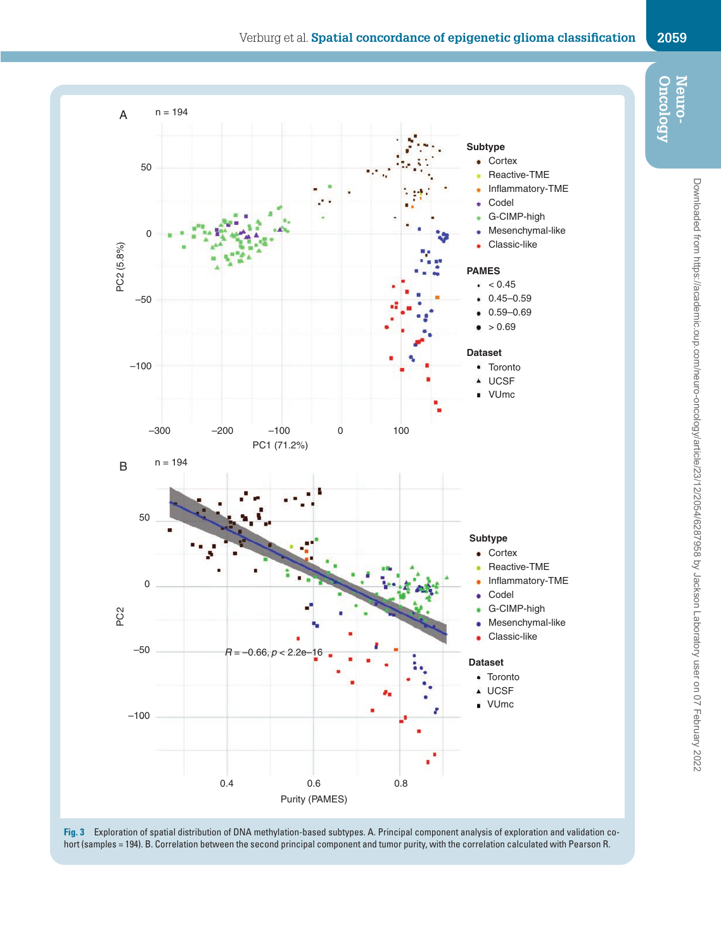<span id="page-7-0"></span>



**Fig. 3** Exploration of spatial distribution of DNA methylation-based subtypes. A. Principal component analysis of exploration and validation cohort (samples = 194). B. Correlation between the second principal component and tumor purity, with the correlation calculated with Pearson R.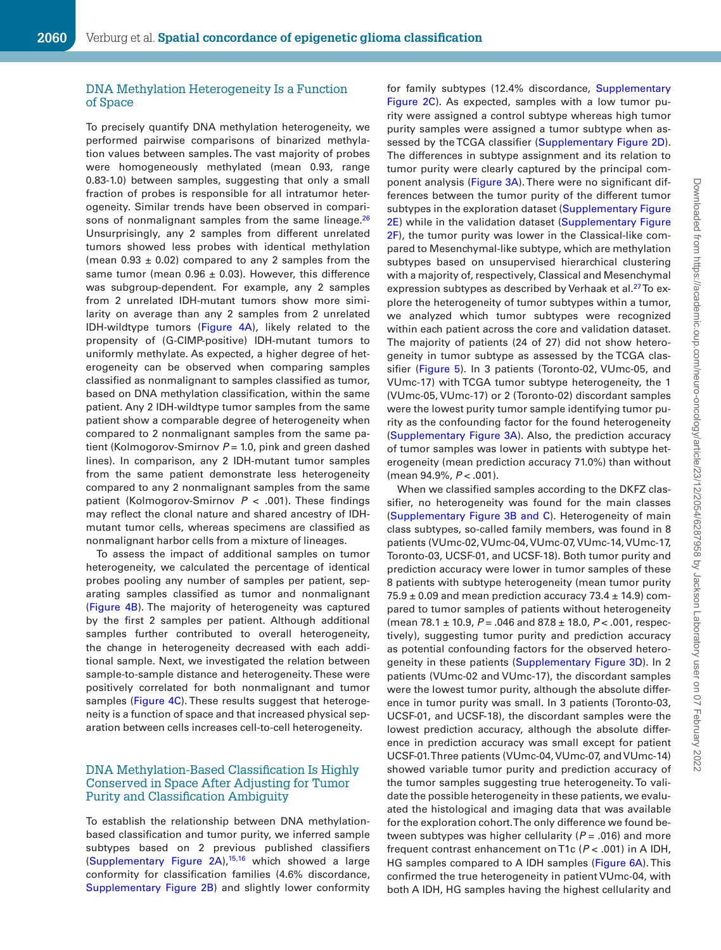#### DNA Methylation Heterogeneity Is a Function of Space

To precisely quantify DNA methylation heterogeneity, we performed pairwise comparisons of binarized methylation values between samples. The vast majority of probes were homogeneously methylated (mean 0.93, range 0.83-1.0) between samples, suggesting that only a small fraction of probes is responsible for all intratumor heterogeneity. Similar trends have been observed in compari-sons of nonmalignant samples from the same lineage.<sup>[26](#page-13-24)</sup> Unsurprisingly, any 2 samples from different unrelated tumors showed less probes with identical methylation (mean  $0.93 \pm 0.02$ ) compared to any 2 samples from the same tumor (mean  $0.96 \pm 0.03$ ). However, this difference was subgroup-dependent. For example, any 2 samples from 2 unrelated IDH-mutant tumors show more similarity on average than any 2 samples from 2 unrelated IDH-wildtype tumors ([Figure 4A\)](#page-9-0), likely related to the propensity of (G-CIMP-positive) IDH-mutant tumors to uniformly methylate. As expected, a higher degree of heterogeneity can be observed when comparing samples classified as nonmalignant to samples classified as tumor, based on DNA methylation classification, within the same patient. Any 2 IDH-wildtype tumor samples from the same patient show a comparable degree of heterogeneity when compared to 2 nonmalignant samples from the same patient (Kolmogorov-Smirnov *P* = 1.0, pink and green dashed lines). In comparison, any 2 IDH-mutant tumor samples from the same patient demonstrate less heterogeneity compared to any 2 nonmalignant samples from the same patient (Kolmogorov-Smirnov *P* < .001). These findings may reflect the clonal nature and shared ancestry of IDHmutant tumor cells, whereas specimens are classified as nonmalignant harbor cells from a mixture of lineages.

To assess the impact of additional samples on tumor heterogeneity, we calculated the percentage of identical probes pooling any number of samples per patient, separating samples classified as tumor and nonmalignant ([Figure 4B\)](#page-9-0). The majority of heterogeneity was captured by the first 2 samples per patient. Although additional samples further contributed to overall heterogeneity, the change in heterogeneity decreased with each additional sample. Next, we investigated the relation between sample-to-sample distance and heterogeneity. These were positively correlated for both nonmalignant and tumor samples [\(Figure 4C](#page-9-0)). These results suggest that heterogeneity is a function of space and that increased physical separation between cells increases cell-to-cell heterogeneity.

#### DNA Methylation-Based Classification Is Highly Conserved in Space After Adjusting for Tumor Purity and Classification Ambiguity

To establish the relationship between DNA methylationbased classification and tumor purity, we inferred sample subtypes based on 2 previous published classifiers ([Supplementary Figure 2A](http://academic.oup.com/neuro-oncology/article-lookup/doi/10.1093/neuonc/noab134#supplementary-data)),<sup>15[,16](#page-13-14)</sup> which showed a large conformity for classification families (4.6% discordance, [Supplementary Figure 2B](http://academic.oup.com/neuro-oncology/article-lookup/doi/10.1093/neuonc/noab134#supplementary-data)) and slightly lower conformity for family subtypes (12.4% discordance, [Supplementary](http://academic.oup.com/neuro-oncology/article-lookup/doi/10.1093/neuonc/noab134#supplementary-data)  [Figure 2C\)](http://academic.oup.com/neuro-oncology/article-lookup/doi/10.1093/neuonc/noab134#supplementary-data). As expected, samples with a low tumor purity were assigned a control subtype whereas high tumor purity samples were assigned a tumor subtype when as-sessed by the TCGA classifier ([Supplementary Figure 2D\)](http://academic.oup.com/neuro-oncology/article-lookup/doi/10.1093/neuonc/noab134#supplementary-data). The differences in subtype assignment and its relation to tumor purity were clearly captured by the principal component analysis [\(Figure 3A](#page-7-0)). There were no significant differences between the tumor purity of the different tumor subtypes in the exploration dataset (Supplementary Figure [2E\)](http://academic.oup.com/neuro-oncology/article-lookup/doi/10.1093/neuonc/noab134#supplementary-data) while in the validation dataset (Supplementary Figure [2F](http://academic.oup.com/neuro-oncology/article-lookup/doi/10.1093/neuonc/noab134#supplementary-data)), the tumor purity was lower in the Classical-like compared to Mesenchymal-like subtype, which are methylation subtypes based on unsupervised hierarchical clustering with a majority of, respectively, Classical and Mesenchymal expression subtypes as described by Verhaak et al.<sup>27</sup> To explore the heterogeneity of tumor subtypes within a tumor, we analyzed which tumor subtypes were recognized within each patient across the core and validation dataset. The majority of patients (24 of 27) did not show heterogeneity in tumor subtype as assessed by the TCGA classifier [\(Figure 5](#page-10-0)). In 3 patients (Toronto-02, VUmc-05, and VUmc-17) with TCGA tumor subtype heterogeneity, the 1 (VUmc-05, VUmc-17) or 2 (Toronto-02) discordant samples were the lowest purity tumor sample identifying tumor purity as the confounding factor for the found heterogeneity ([Supplementary Figure 3A](http://academic.oup.com/neuro-oncology/article-lookup/doi/10.1093/neuonc/noab134#supplementary-data)). Also, the prediction accuracy of tumor samples was lower in patients with subtype heterogeneity (mean prediction accuracy 71.0%) than without (mean 94.9%, *P* < .001).

When we classified samples according to the DKFZ classifier, no heterogeneity was found for the main classes ([Supplementary Figure 3B and C](http://academic.oup.com/neuro-oncology/article-lookup/doi/10.1093/neuonc/noab134#supplementary-data)). Heterogeneity of main class subtypes, so-called family members, was found in 8 patients (VUmc-02, VUmc-04, VUmc-07, VUmc-14, VUmc-17, Toronto-03, UCSF-01, and UCSF-18). Both tumor purity and prediction accuracy were lower in tumor samples of these 8 patients with subtype heterogeneity (mean tumor purity  $75.9 \pm 0.09$  and mean prediction accuracy  $73.4 \pm 14.9$ ) compared to tumor samples of patients without heterogeneity (mean 78.1 ± 10.9, *P* = .046 and 87.8 ± 18.0, *P* < .001, respectively), suggesting tumor purity and prediction accuracy as potential confounding factors for the observed hetero-geneity in these patients ([Supplementary Figure 3D](http://academic.oup.com/neuro-oncology/article-lookup/doi/10.1093/neuonc/noab134#supplementary-data)). In 2 patients (VUmc-02 and VUmc-17), the discordant samples were the lowest tumor purity, although the absolute difference in tumor purity was small. In 3 patients (Toronto-03, UCSF-01, and UCSF-18), the discordant samples were the lowest prediction accuracy, although the absolute difference in prediction accuracy was small except for patient UCSF-01. Three patients (VUmc-04, VUmc-07, and VUmc-14) showed variable tumor purity and prediction accuracy of the tumor samples suggesting true heterogeneity. To validate the possible heterogeneity in these patients, we evaluated the histological and imaging data that was available for the exploration cohort. The only difference we found between subtypes was higher cellularity (*P* = .016) and more frequent contrast enhancement on T1c (*P* < .001) in A IDH, HG samples compared to A IDH samples [\(Figure 6A](#page-11-0)). This confirmed the true heterogeneity in patient VUmc-04, with both A IDH, HG samples having the highest cellularity and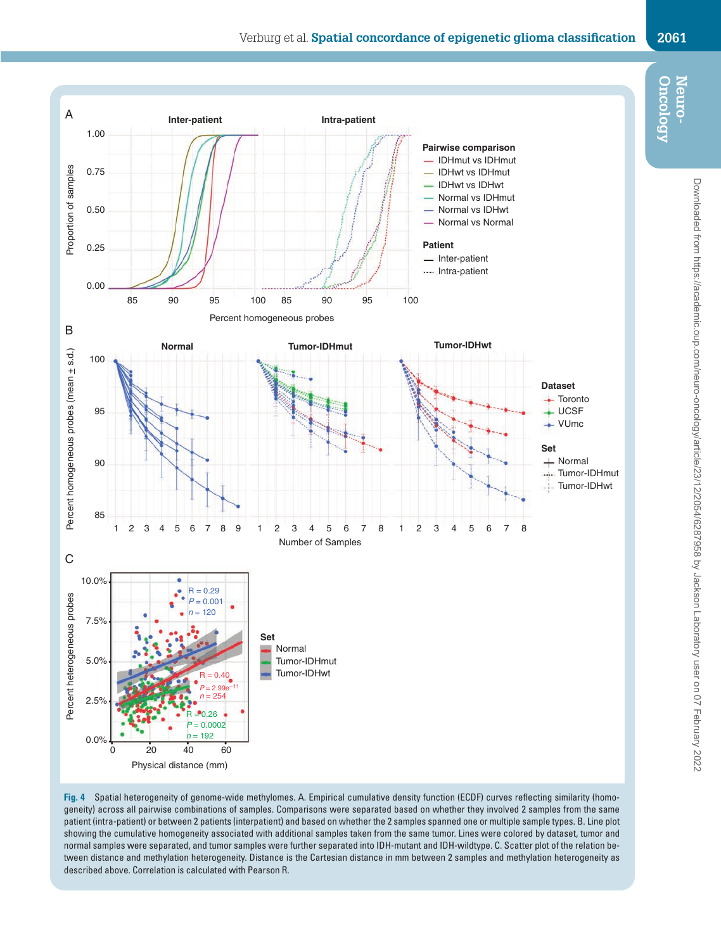<span id="page-9-0"></span>

**Fig. 4** Spatial heterogeneity of genome-wide methylomes. A. Empirical cumulative density function (ECDF) curves reflecting similarity (homogeneity) across all pairwise combinations of samples. Comparisons were separated based on whether they involved 2 samples from the same patient (intra-patient) or between 2 patients (interpatient) and based on whether the 2 samples spanned one or multiple sample types. B. Line plot showing the cumulative homogeneity associated with additional samples taken from the same tumor. Lines were colored by dataset, tumor and normal samples were separated, and tumor samples were further separated into IDH-mutant and IDH-wildtype. C. Scatter plot of the relation between distance and methylation heterogeneity. Distance is the Cartesian distance in mm between 2 samples and methylation heterogeneity as described above. Correlation is calculated with Pearson R.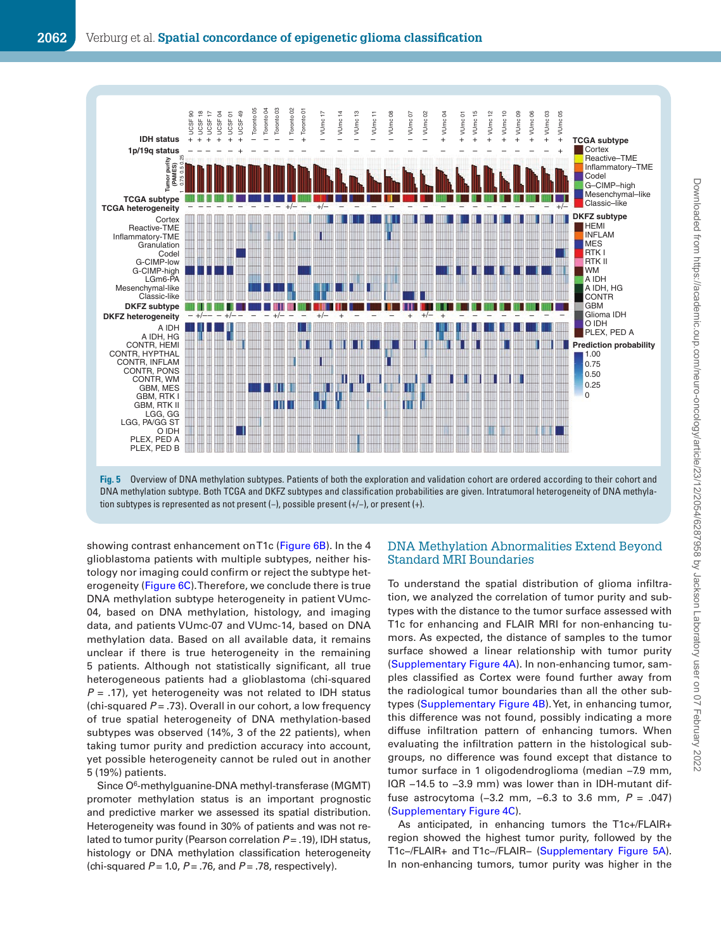



showing contrast enhancement on T1c [\(Figure 6B\)](#page-11-0). In the 4 glioblastoma patients with multiple subtypes, neither histology nor imaging could confirm or reject the subtype heterogeneity [\(Figure 6C](#page-11-0)). Therefore, we conclude there is true DNA methylation subtype heterogeneity in patient VUmc-04, based on DNA methylation, histology, and imaging data, and patients VUmc-07 and VUmc-14, based on DNA methylation data. Based on all available data, it remains unclear if there is true heterogeneity in the remaining 5 patients. Although not statistically significant, all true heterogeneous patients had a glioblastoma (chi-squared *P* = .17), yet heterogeneity was not related to IDH status (chi-squared  $P = .73$ ). Overall in our cohort, a low frequency of true spatial heterogeneity of DNA methylation-based subtypes was observed (14%, 3 of the 22 patients), when taking tumor purity and prediction accuracy into account, yet possible heterogeneity cannot be ruled out in another 5 (19%) patients.

Since O6-methylguanine-DNA methyl-transferase (MGMT) promoter methylation status is an important prognostic and predictive marker we assessed its spatial distribution. Heterogeneity was found in 30% of patients and was not related to tumor purity (Pearson correlation *P* = .19), IDH status, histology or DNA methylation classification heterogeneity (chi-squared *P* = 1.0, *P* = .76, and *P* = .78, respectively).

#### <span id="page-10-0"></span>DNA Methylation Abnormalities Extend Beyond Standard MRI Boundaries

To understand the spatial distribution of glioma infiltration, we analyzed the correlation of tumor purity and subtypes with the distance to the tumor surface assessed with T1c for enhancing and FLAIR MRI for non-enhancing tumors. As expected, the distance of samples to the tumor surface showed a linear relationship with tumor purity [\(Supplementary Figure 4A](http://academic.oup.com/neuro-oncology/article-lookup/doi/10.1093/neuonc/noab134#supplementary-data)). In non-enhancing tumor, samples classified as Cortex were found further away from the radiological tumor boundaries than all the other subtypes ([Supplementary Figure 4B](http://academic.oup.com/neuro-oncology/article-lookup/doi/10.1093/neuonc/noab134#supplementary-data)). Yet, in enhancing tumor, this difference was not found, possibly indicating a more diffuse infiltration pattern of enhancing tumors. When evaluating the infiltration pattern in the histological subgroups, no difference was found except that distance to tumor surface in 1 oligodendroglioma (median −7.9 mm, IQR −14.5 to −3.9 mm) was lower than in IDH-mutant diffuse astrocytoma (-3.2 mm, -6.3 to 3.6 mm,  $P = .047$ ) [\(Supplementary Figure 4C](http://academic.oup.com/neuro-oncology/article-lookup/doi/10.1093/neuonc/noab134#supplementary-data)).

As anticipated, in enhancing tumors the T1c+/FLAIR+ region showed the highest tumor purity, followed by the T1c−/FLAIR+ and T1c−/FLAIR− [\(Supplementary Figure 5A](http://academic.oup.com/neuro-oncology/article-lookup/doi/10.1093/neuonc/noab134#supplementary-data)). In non-enhancing tumors, tumor purity was higher in the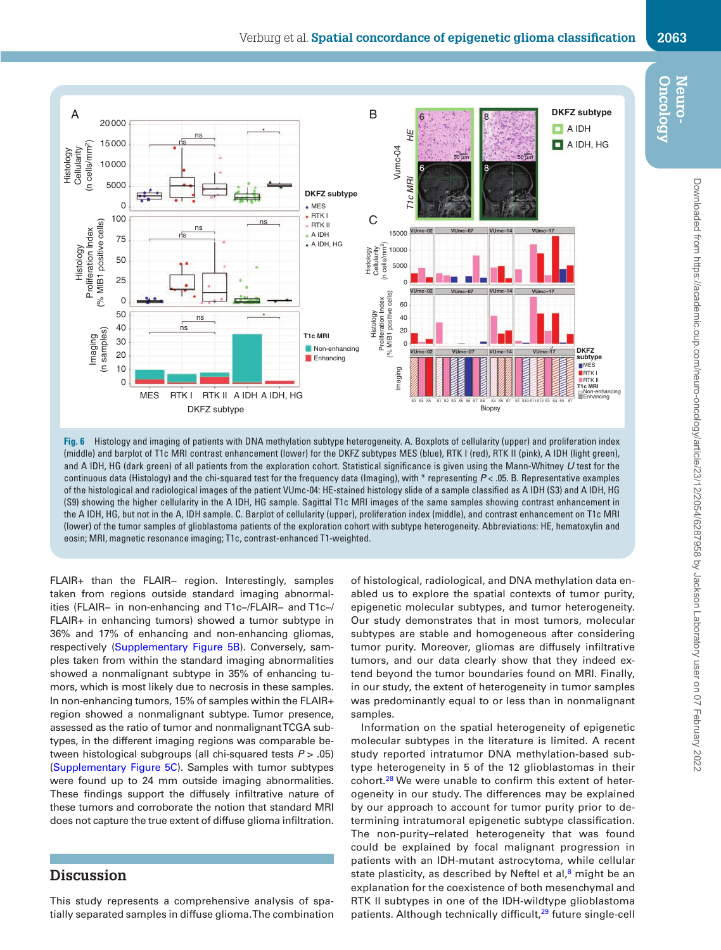

**Fig. 6** Histology and imaging of patients with DNA methylation subtype heterogeneity. A. Boxplots of cellularity (upper) and proliferation index (middle) and barplot of T1c MRI contrast enhancement (lower) for the DKFZ subtypes MES (blue), RTK I (red), RTK II (pink), A IDH (light green), and A IDH, HG (dark green) of all patients from the exploration cohort. Statistical significance is given using the Mann-Whitney *U* test for the continuous data (Histology) and the chi-squared test for the frequency data (Imaging), with \* representing *P* < .05. B. Representative examples of the histological and radiological images of the patient VUmc-04: HE-stained histology slide of a sample classified as A IDH (S3) and A IDH, HG (S9) showing the higher cellularity in the A IDH, HG sample. Sagittal T1c MRI images of the same samples showing contrast enhancement in the A IDH, HG, but not in the A, IDH sample. C. Barplot of cellularity (upper), proliferation index (middle), and contrast enhancement on T1c MRI (lower) of the tumor samples of glioblastoma patients of the exploration cohort with subtype heterogeneity. Abbreviations: HE, hematoxylin and eosin; MRI, magnetic resonance imaging; T1c, contrast-enhanced T1-weighted.

FLAIR+ than the FLAIR− region. Interestingly, samples taken from regions outside standard imaging abnormalities (FLAIR− in non-enhancing and T1c−/FLAIR− and T1c−/ FLAIR+ in enhancing tumors) showed a tumor subtype in 36% and 17% of enhancing and non-enhancing gliomas, respectively ([Supplementary Figure 5B\)](http://academic.oup.com/neuro-oncology/article-lookup/doi/10.1093/neuonc/noab134#supplementary-data). Conversely, samples taken from within the standard imaging abnormalities showed a nonmalignant subtype in 35% of enhancing tumors, which is most likely due to necrosis in these samples. In non-enhancing tumors, 15% of samples within the FLAIR+ region showed a nonmalignant subtype. Tumor presence, assessed as the ratio of tumor and nonmalignant TCGA subtypes, in the different imaging regions was comparable between histological subgroups (all chi-squared tests *P* > .05) ([Supplementary Figure 5C\)](http://academic.oup.com/neuro-oncology/article-lookup/doi/10.1093/neuonc/noab134#supplementary-data). Samples with tumor subtypes were found up to 24 mm outside imaging abnormalities. These findings support the diffusely infiltrative nature of these tumors and corroborate the notion that standard MRI does not capture the true extent of diffuse glioma infiltration.

## **Discussion**

This study represents a comprehensive analysis of spatially separated samples in diffuse glioma. The combination of histological, radiological, and DNA methylation data enabled us to explore the spatial contexts of tumor purity, epigenetic molecular subtypes, and tumor heterogeneity. Our study demonstrates that in most tumors, molecular subtypes are stable and homogeneous after considering tumor purity. Moreover, gliomas are diffusely infiltrative tumors, and our data clearly show that they indeed extend beyond the tumor boundaries found on MRI. Finally, in our study, the extent of heterogeneity in tumor samples was predominantly equal to or less than in nonmalignant samples.

Information on the spatial heterogeneity of epigenetic molecular subtypes in the literature is limited. A recent study reported intratumor DNA methylation-based subtype heterogeneity in 5 of the 12 glioblastomas in their cohort. $28$  We were unable to confirm this extent of heterogeneity in our study. The differences may be explained by our approach to account for tumor purity prior to determining intratumoral epigenetic subtype classification. The non-purity–related heterogeneity that was found could be explained by focal malignant progression in patients with an IDH-mutant astrocytoma, while cellular state plasticity, as described by Neftel et al, $8$  might be an explanation for the coexistence of both mesenchymal and RTK II subtypes in one of the IDH-wildtype glioblastoma patients. Although technically difficult,<sup>[29](#page-13-27)</sup> future single-cell

<span id="page-11-0"></span>**Oncology Neuro-**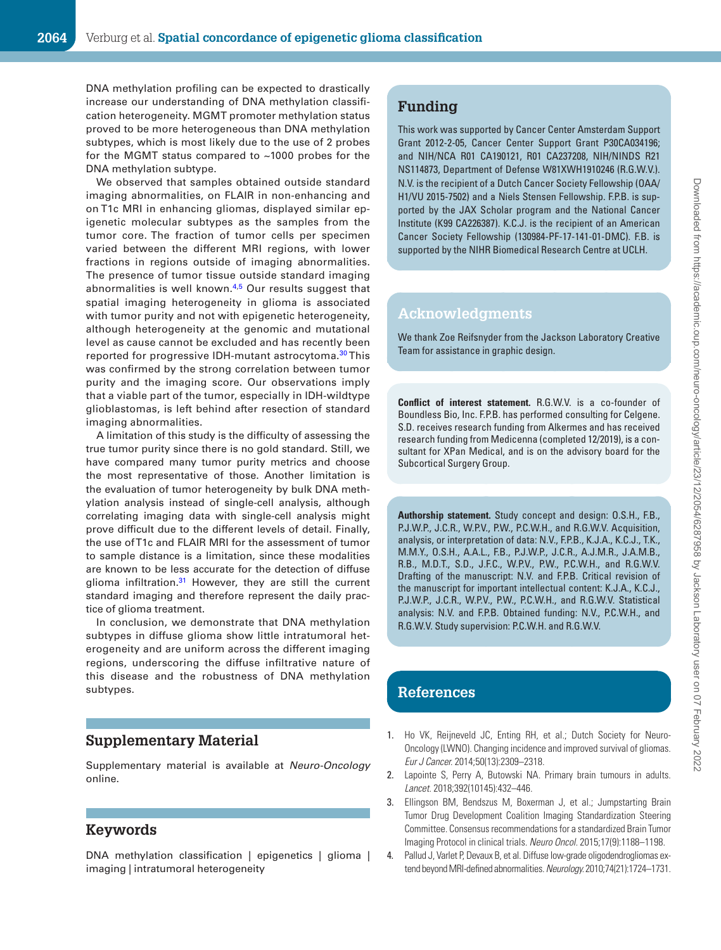DNA methylation profiling can be expected to drastically increase our understanding of DNA methylation classification heterogeneity. MGMT promoter methylation status proved to be more heterogeneous than DNA methylation subtypes, which is most likely due to the use of 2 probes for the MGMT status compared to  $~1000$  probes for the DNA methylation subtype.

We observed that samples obtained outside standard imaging abnormalities, on FLAIR in non-enhancing and on T1c MRI in enhancing gliomas, displayed similar epigenetic molecular subtypes as the samples from the tumor core. The fraction of tumor cells per specimen varied between the different MRI regions, with lower fractions in regions outside of imaging abnormalities. The presence of tumor tissue outside standard imaging abnormalities is well known.<sup>[4](#page-13-3),5</sup> Our results suggest that spatial imaging heterogeneity in glioma is associated with tumor purity and not with epigenetic heterogeneity, although heterogeneity at the genomic and mutational level as cause cannot be excluded and has recently been reported for progressive IDH-mutant astrocytoma.<sup>[30](#page-13-28)</sup>This was confirmed by the strong correlation between tumor purity and the imaging score. Our observations imply that a viable part of the tumor, especially in IDH-wildtype glioblastomas, is left behind after resection of standard imaging abnormalities.

A limitation of this study is the difficulty of assessing the true tumor purity since there is no gold standard. Still, we have compared many tumor purity metrics and choose the most representative of those. Another limitation is the evaluation of tumor heterogeneity by bulk DNA methylation analysis instead of single-cell analysis, although correlating imaging data with single-cell analysis might prove difficult due to the different levels of detail. Finally, the use of T1c and FLAIR MRI for the assessment of tumor to sample distance is a limitation, since these modalities are known to be less accurate for the detection of diffuse glioma infiltration.<sup>31</sup> However, they are still the current standard imaging and therefore represent the daily practice of glioma treatment.

In conclusion, we demonstrate that DNA methylation subtypes in diffuse glioma show little intratumoral heterogeneity and are uniform across the different imaging regions, underscoring the diffuse infiltrative nature of this disease and the robustness of DNA methylation subtypes.

## **Supplementary Material**

Supplementary material is available at *Neuro-Oncology* online.

## **Keywords**

DNA methylation classification | epigenetics | glioma | imaging | intratumoral heterogeneity

## **Funding**

This work was supported by Cancer Center Amsterdam Support Grant 2012-2-05, Cancer Center Support Grant P30CA034196; and NIH/NCA R01 CA190121, R01 CA237208, NIH/NINDS R21 NS114873, Department of Defense W81XWH1910246 (R.G.W.V.). N.V. is the recipient of a Dutch Cancer Society Fellowship (OAA/ H1/VU 2015-7502) and a Niels Stensen Fellowship. F.P.B. is supported by the JAX Scholar program and the National Cancer Institute (K99 CA226387). K.C.J. is the recipient of an American Cancer Society Fellowship (130984-PF-17-141-01-DMC). F.B. is supported by the NIHR Biomedical Research Centre at UCLH.

#### **Acknowledgments**

We thank Zoe Reifsnyder from the Jackson Laboratory Creative Team for assistance in graphic design.

**Conflict of interest statement.** R.G.W.V. is a co-founder of Boundless Bio, Inc. F.P.B. has performed consulting for Celgene. S.D. receives research funding from Alkermes and has received research funding from Medicenna (completed 12/2019), is a consultant for XPan Medical, and is on the advisory board for the Subcortical Surgery Group.

**Authorship statement.** Study concept and design: O.S.H., F.B., P.J.W.P., J.C.R., W.P.V., P.W., P.C.W.H., and R.G.W.V. Acquisition, analysis, or interpretation of data: N.V., F.P.B., K.J.A., K.C.J., T.K., M.M.Y., O.S.H., A.A.L., F.B., P.J.W.P., J.C.R., A.J.M.R., J.A.M.B., R.B., M.D.T., S.D., J.F.C., W.P.V., P.W., P.C.W.H., and R.G.W.V. Drafting of the manuscript: N.V. and F.P.B. Critical revision of the manuscript for important intellectual content: K.J.A., K.C.J., P.J.W.P., J.C.R., W.P.V., P.W., P.C.W.H., and R.G.W.V. Statistical analysis: N.V. and F.P.B. Obtained funding: N.V., P.C.W.H., and R.G.W.V. Study supervision: P.C.W.H. and R.G.W.V.

## **References**

- 1. Ho VK, Reijneveld JC, Enting RH, et al.; Dutch Society for Neuro-Oncology (LWNO). Changing incidence and improved survival of gliomas. *Eur J Cancer.* 2014;50(13):2309–2318.
- 2. Lapointe S, Perry A, Butowski NA. Primary brain tumours in adults. *Lancet.* 2018;392(10145):432–446.
- 3. Ellingson BM, Bendszus M, Boxerman J, et al.; Jumpstarting Brain Tumor Drug Development Coalition Imaging Standardization Steering Committee. Consensus recommendations for a standardized Brain Tumor Imaging Protocol in clinical trials. *Neuro Oncol.* 2015;17(9):1188–1198.
- 4. Pallud J, Varlet P, Devaux B, et al. Diffuse low-grade oligodendrogliomas extend beyond MRI-defined abnormalities. *Neurology.* 2010;74(21):1724–1731.